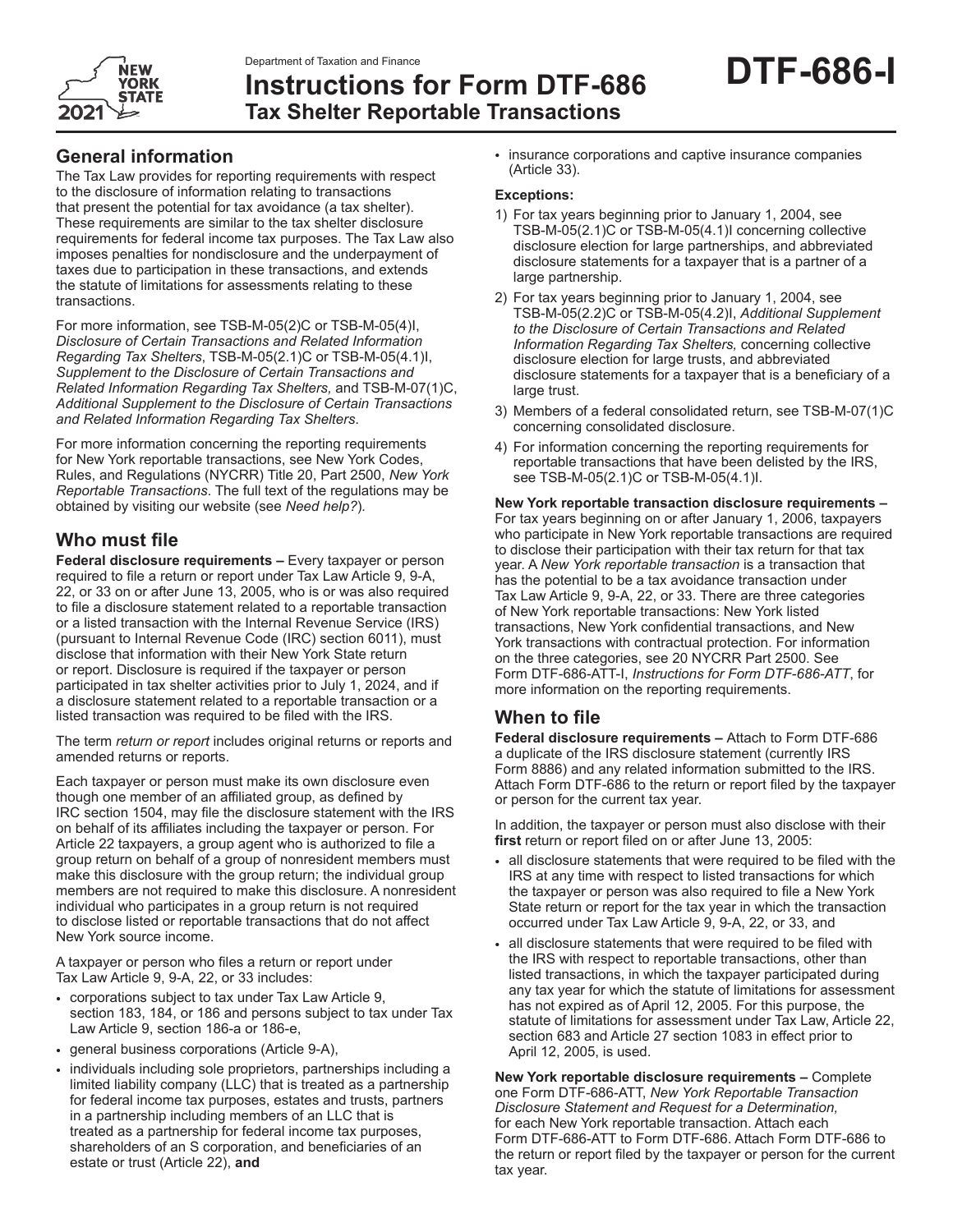

**Instructions for Form DTF-686 Tax Shelter Reportable Transactions**

### **General information**

The Tax Law provides for reporting requirements with respect to the disclosure of information relating to transactions that present the potential for tax avoidance (a tax shelter). These requirements are similar to the tax shelter disclosure requirements for federal income tax purposes. The Tax Law also imposes penalties for nondisclosure and the underpayment of taxes due to participation in these transactions, and extends the statute of limitations for assessments relating to these transactions.

For more information, see TSB-M-05(2)C or TSB-M-05(4)I, *Disclosure of Certain Transactions and Related Information Regarding Tax Shelters, TSB-M-05(2.1)C or TSB-M-05(4.1)I, Supplement to the Disclosure of Certain Transactions and Related Information Regarding Tax Shelters,* and TSB-M-07(1)C, *Additional Supplement to the Disclosure of Certain Transactions and Related Information Regarding Tax Shelters*.

For more information concerning the reporting requirements for New York reportable transactions, see New York Codes, Rules, and Regulations (NYCRR) Title 20, Part 2500, *New York Reportable Transactions*. The full text of the regulations may be obtained by visiting our website (see *Need help?*)*.*

## **Who must file**

**Federal disclosure requirements –** Every taxpayer or person required to file a return or report under Tax Law Article 9, 9‑A, 22, or 33 on or after June 13, 2005, who is or was also required to file a disclosure statement related to a reportable transaction or a listed transaction with the Internal Revenue Service (IRS) (pursuant to Internal Revenue Code (IRC) section 6011), must disclose that information with their New York State return or report. Disclosure is required if the taxpayer or person participated in tax shelter activities prior to July 1, 2024, and if a disclosure statement related to a reportable transaction or a listed transaction was required to be filed with the IRS.

The term *return or report* includes original returns or reports and amended returns or reports.

Each taxpayer or person must make its own disclosure even though one member of an affiliated group, as defined by IRC section 1504, may file the disclosure statement with the IRS on behalf of its affiliates including the taxpayer or person. For Article 22 taxpayers, a group agent who is authorized to file a group return on behalf of a group of nonresident members must make this disclosure with the group return; the individual group members are not required to make this disclosure. A nonresident individual who participates in a group return is not required to disclose listed or reportable transactions that do not affect New York source income.

A taxpayer or person who files a return or report under Tax Law Article 9, 9‑A, 22, or 33 includes:

- corporations subject to tax under Tax Law Article 9, section 183, 184, or 186 and persons subject to tax under Tax Law Article 9, section 186‑a or 186‑e,
- general business corporations (Article 9‑A),
- individuals including sole proprietors, partnerships including a limited liability company (LLC) that is treated as a partnership for federal income tax purposes, estates and trusts, partners in a partnership including members of an LLC that is treated as a partnership for federal income tax purposes, shareholders of an S corporation, and beneficiaries of an estate or trust (Article 22), **and**

• insurance corporations and captive insurance companies (Article 33).

#### **Exceptions:**

- 1) For tax years beginning prior to January 1, 2004, see TSB-M-05(2.1)C or TSB-M-05(4.1)I concerning collective disclosure election for large partnerships, and abbreviated disclosure statements for a taxpayer that is a partner of a large partnership.
- 2) For tax years beginning prior to January 1, 2004, see TSB-M-05(2.2)C or TSB-M-05(4.2)I, *Additional Supplement to the Disclosure of Certain Transactions and Related Information Regarding Tax Shelters,* concerning collective disclosure election for large trusts, and abbreviated disclosure statements for a taxpayer that is a beneficiary of a large trust.
- 3) Members of a federal consolidated return, see TSB-M-07(1)C concerning consolidated disclosure.
- 4) For information concerning the reporting requirements for reportable transactions that have been delisted by the IRS, see TSB-M-05(2.1)C or TSB-M-05(4.1)I.

**New York reportable transaction disclosure requirements –**  For tax years beginning on or after January 1, 2006, taxpayers who participate in New York reportable transactions are required to disclose their participation with their tax return for that tax year. A *New York reportable transaction* is a transaction that has the potential to be a tax avoidance transaction under Tax Law Article 9, 9-A, 22, or 33. There are three categories of New York reportable transactions: New York listed transactions, New York confidential transactions, and New York transactions with contractual protection. For information on the three categories, see 20 NYCRR Part 2500. See Form DTF-686-ATT-I, *Instructions for Form DTF-686-ATT*, for more information on the reporting requirements.

## **When to file**

**Federal disclosure requirements –** Attach to Form DTF-686 a duplicate of the IRS disclosure statement (currently IRS Form 8886) and any related information submitted to the IRS. Attach Form DTF‑686 to the return or report filed by the taxpayer or person for the current tax year.

In addition, the taxpayer or person must also disclose with their **first** return or report filed on or after June 13, 2005:

- all disclosure statements that were required to be filed with the IRS at any time with respect to listed transactions for which the taxpayer or person was also required to file a New York State return or report for the tax year in which the transaction occurred under Tax Law Article 9, 9-A, 22, or 33, and
- all disclosure statements that were required to be filed with the IRS with respect to reportable transactions, other than listed transactions, in which the taxpayer participated during any tax year for which the statute of limitations for assessment has not expired as of April 12, 2005. For this purpose, the statute of limitations for assessment under Tax Law, Article 22, section 683 and Article 27 section 1083 in effect prior to April 12, 2005, is used.

**New York reportable disclosure requirements –** Complete one Form DTF-686-ATT, *New York Reportable Transaction Disclosure Statement and Request for a Determination,* for each New York reportable transaction. Attach each Form DTF-686-ATT to Form DTF-686. Attach Form DTF-686 to the return or report filed by the taxpayer or person for the current tax year.